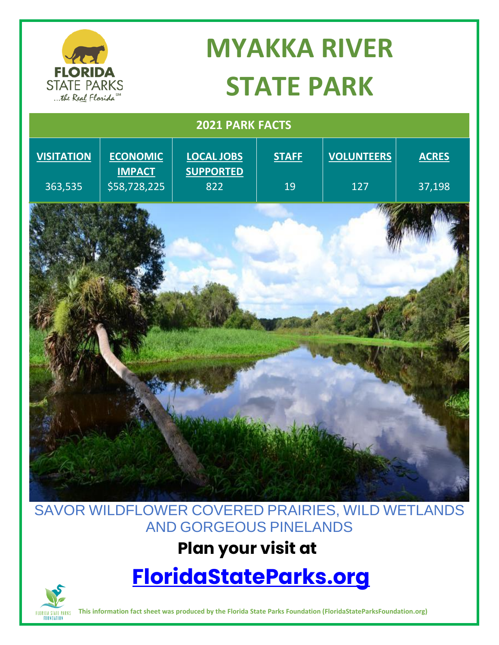

# **MYAKKA RIVER STATE PARK**

| 2021 PARK FACTS   |                                  |                                       |              |                   |              |
|-------------------|----------------------------------|---------------------------------------|--------------|-------------------|--------------|
| <b>VISITATION</b> | <b>ECONOMIC</b><br><b>IMPACT</b> | <b>LOCAL JOBS</b><br><b>SUPPORTED</b> | <b>STAFF</b> | <b>VOLUNTEERS</b> | <b>ACRES</b> |
| 363,535           | \$58,728,225                     | 822                                   | 19           | 127               | 37,198       |
|                   |                                  |                                       |              |                   |              |
|                   |                                  |                                       |              |                   |              |
|                   |                                  |                                       |              |                   |              |
|                   |                                  |                                       |              |                   |              |
|                   |                                  |                                       |              |                   |              |
|                   |                                  |                                       |              |                   |              |
|                   |                                  |                                       |              |                   |              |
|                   |                                  |                                       |              |                   |              |
|                   |                                  |                                       |              |                   |              |
|                   |                                  |                                       |              |                   |              |
|                   |                                  |                                       |              |                   |              |

#### SAVOR WILDFLOWER COVERED PRAIRIES, WILD WETLANDS AND GORGEOUS PINELANDS

### **Plan your visit at**

# **[FloridaStateParks.org](http://www.floridastateparks.org/)**



**This information fact sheet was produced by the Florida State Parks Foundation (FloridaStateParksFoundation.org)**